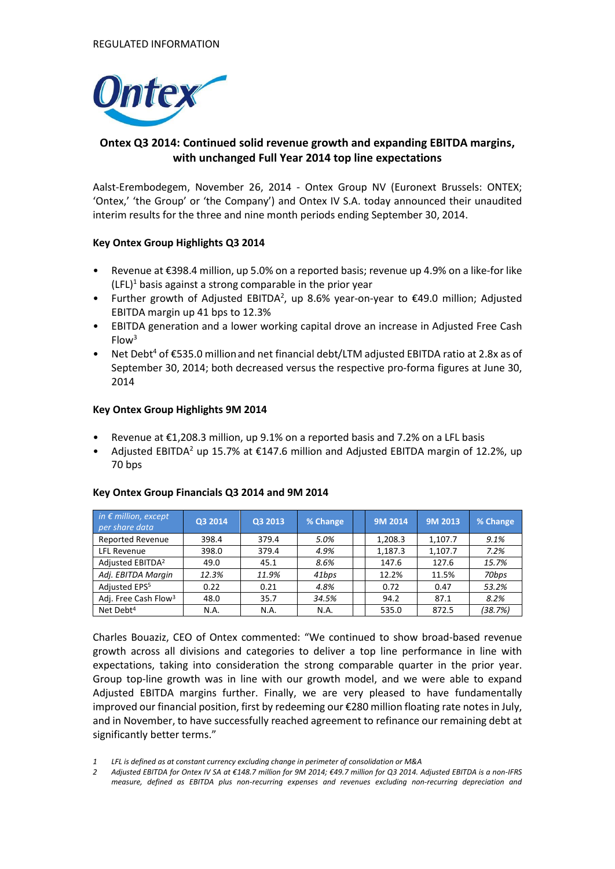

# **Ontex Q3 2014: Continued solid revenue growth and expanding EBITDA margins, with unchanged Full Year 2014 top line expectations**

Aalst-Erembodegem, November 26, 2014 - Ontex Group NV (Euronext Brussels: ONTEX; 'Ontex,' 'the Group' or 'the Company') and Ontex IV S.A. today announced their unaudited interim results for the three and nine month periods ending September 30, 2014.

## **Key Ontex Group Highlights Q3 2014**

- Revenue at €398.4 million, up 5.0% on a reported basis; revenue up 4.9% on a like-for like  $(LFL)^1$  basis against a strong comparable in the prior year
- Further growth of Adjusted EBITDA<sup>2</sup>, up 8.6% year-on-year to  $\epsilon$ 49.0 million; Adjusted EBITDA margin up 41 bps to 12.3%
- EBITDA generation and a lower working capital drove an increase in Adjusted Free Cash Flow<sup>3</sup>
- Net Debt<sup>4</sup> of  $\epsilon$ 535.0 million and net financial debt/LTM adjusted EBITDA ratio at 2.8x as of September 30, 2014; both decreased versus the respective pro-forma figures at June 30, 2014

## **Key Ontex Group Highlights 9M 2014**

- Revenue at  $\epsilon$ 1,208.3 million, up 9.1% on a reported basis and 7.2% on a LFL basis
- Adjusted EBITDA<sup>2</sup> up 15.7% at €147.6 million and Adjusted EBITDA margin of 12.2%, up 70 bps

| in $\epsilon$ million, except<br>per share data | Q3 2014 | Q3 2013 | % Change | 9M 2014 | 9M 2013 | % Change |
|-------------------------------------------------|---------|---------|----------|---------|---------|----------|
| <b>Reported Revenue</b>                         | 398.4   | 379.4   | 5.0%     | 1,208.3 | 1.107.7 | 9.1%     |
| <b>LFL Revenue</b>                              | 398.0   | 379.4   | 4.9%     | 1,187.3 | 1,107.7 | 7.2%     |
| Adjusted EBITDA <sup>2</sup>                    | 49.0    | 45.1    | 8.6%     | 147.6   | 127.6   | 15.7%    |
| Adj. EBITDA Margin                              | 12.3%   | 11.9%   | 41bps    | 12.2%   | 11.5%   | 70bps    |
| Adjusted EPS <sup>5</sup>                       | 0.22    | 0.21    | 4.8%     | 0.72    | 0.47    | 53.2%    |
| Adj. Free Cash Flow <sup>3</sup>                | 48.0    | 35.7    | 34.5%    | 94.2    | 87.1    | 8.2%     |
| Net Debt <sup>4</sup>                           | N.A.    | N.A.    | N.A.     | 535.0   | 872.5   | (38.7%)  |

## **Key Ontex Group Financials Q3 2014 and 9M 2014**

Charles Bouaziz, CEO of Ontex commented: "We continued to show broad-based revenue growth across all divisions and categories to deliver a top line performance in line with expectations, taking into consideration the strong comparable quarter in the prior year. Group top-line growth was in line with our growth model, and we were able to expand Adjusted EBITDA margins further. Finally, we are very pleased to have fundamentally improved our financial position, first by redeeming our €280 million floating rate notes in July, and in November, to have successfully reached agreement to refinance our remaining debt at significantly better terms."

*2 Adjusted EBITDA for Ontex IV SA at €148.7 million for 9M 2014; €49.7 million for Q3 2014. Adjusted EBITDA is a non-IFRS measure, defined as EBITDA plus non-recurring expenses and revenues excluding non-recurring depreciation and* 

*<sup>1</sup> LFL is defined as at constant currency excluding change in perimeter of consolidation or M&A*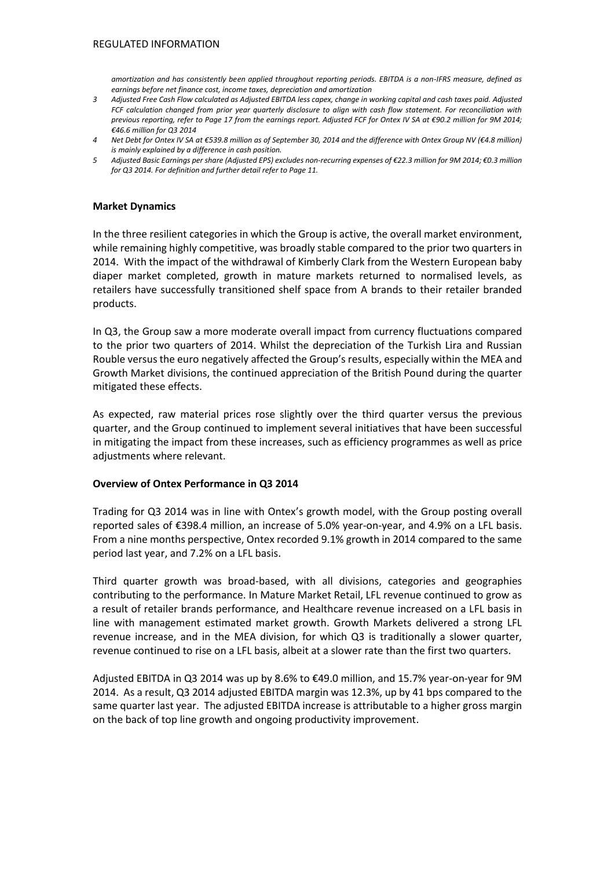*amortization and has consistently been applied throughout reporting periods. EBITDA is a non-IFRS measure, defined as earnings before net finance cost, income taxes, depreciation and amortization*

- *3 Adjusted Free Cash Flow calculated as Adjusted EBITDA less capex, change in working capital and cash taxes paid. Adjusted FCF calculation changed from prior year quarterly disclosure to align with cash flow statement. For reconciliation with previous reporting, refer to Page 17 from the earnings report. Adjusted FCF for Ontex IV SA at €90.2 million for 9M 2014; €46.6 million for Q3 2014*
- *4 Net Debt for Ontex IV SA at €539.8 million as of September 30, 2014 and the difference with Ontex Group NV (€4.8 million) is mainly explained by a difference in cash position.*
- *5 Adjusted Basic Earnings per share (Adjusted EPS) excludes non-recurring expenses of €22.3 million for 9M 2014; €0.3 million for Q3 2014. For definition and further detail refer to Page 11.*

#### **Market Dynamics**

In the three resilient categories in which the Group is active, the overall market environment, while remaining highly competitive, was broadly stable compared to the prior two quarters in 2014. With the impact of the withdrawal of Kimberly Clark from the Western European baby diaper market completed, growth in mature markets returned to normalised levels, as retailers have successfully transitioned shelf space from A brands to their retailer branded products.

In Q3, the Group saw a more moderate overall impact from currency fluctuations compared to the prior two quarters of 2014. Whilst the depreciation of the Turkish Lira and Russian Rouble versus the euro negatively affected the Group's results, especially within the MEA and Growth Market divisions, the continued appreciation of the British Pound during the quarter mitigated these effects.

As expected, raw material prices rose slightly over the third quarter versus the previous quarter, and the Group continued to implement several initiatives that have been successful in mitigating the impact from these increases, such as efficiency programmes as well as price adjustments where relevant.

## **Overview of Ontex Performance in Q3 2014**

Trading for Q3 2014 was in line with Ontex's growth model, with the Group posting overall reported sales of €398.4 million, an increase of 5.0% year-on-year, and 4.9% on a LFL basis. From a nine months perspective, Ontex recorded 9.1% growth in 2014 compared to the same period last year, and 7.2% on a LFL basis.

Third quarter growth was broad-based, with all divisions, categories and geographies contributing to the performance. In Mature Market Retail, LFL revenue continued to grow as a result of retailer brands performance, and Healthcare revenue increased on a LFL basis in line with management estimated market growth. Growth Markets delivered a strong LFL revenue increase, and in the MEA division, for which Q3 is traditionally a slower quarter, revenue continued to rise on a LFL basis, albeit at a slower rate than the first two quarters.

Adjusted EBITDA in Q3 2014 was up by 8.6% to €49.0 million, and 15.7% year-on-year for 9M 2014. As a result, Q3 2014 adjusted EBITDA margin was 12.3%, up by 41 bps compared to the same quarter last year. The adjusted EBITDA increase is attributable to a higher gross margin on the back of top line growth and ongoing productivity improvement.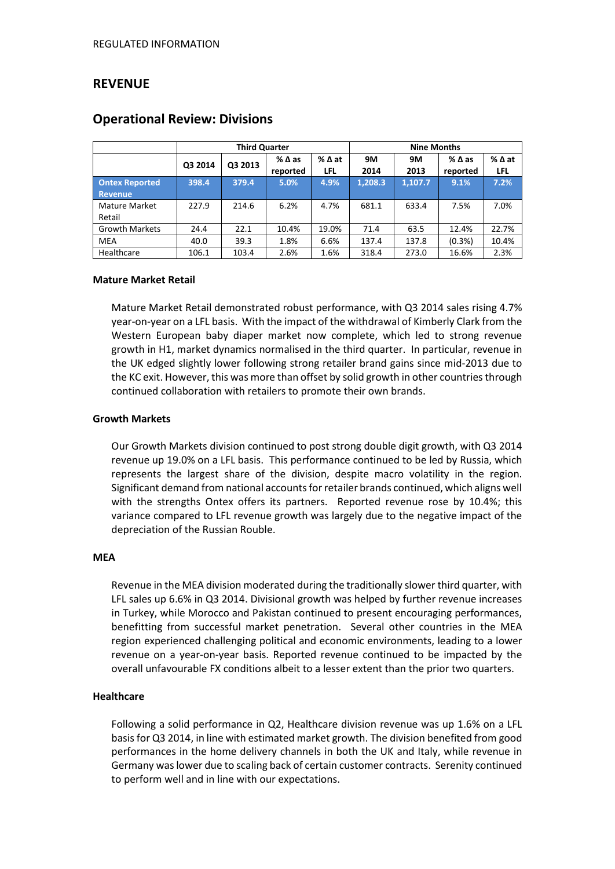# **REVENUE**

|                       | <b>Third Quarter</b> |         |                    |       | <b>Nine Months</b> |         |                 |        |
|-----------------------|----------------------|---------|--------------------|-------|--------------------|---------|-----------------|--------|
|                       | Q3 2014              | Q3 2013 | $%$ $\triangle$ as | %∆at  | 9M                 | 9M      | $%$ $\Delta$ as | % ∆ at |
|                       |                      |         | reported           | LFL   | 2014               | 2013    | reported        | LFL    |
| <b>Ontex Reported</b> | 398.4                | 379.4   | 5.0%               | 4.9%  | 1,208.3            | 1,107.7 | 9.1%            | 7.2%   |
| <b>Revenue</b>        |                      |         |                    |       |                    |         |                 |        |
| Mature Market         | 227.9                | 214.6   | 6.2%               | 4.7%  | 681.1              | 633.4   | 7.5%            | 7.0%   |
| Retail                |                      |         |                    |       |                    |         |                 |        |
| <b>Growth Markets</b> | 24.4                 | 22.1    | 10.4%              | 19.0% | 71.4               | 63.5    | 12.4%           | 22.7%  |
| <b>MEA</b>            | 40.0                 | 39.3    | 1.8%               | 6.6%  | 137.4              | 137.8   | (0.3%)          | 10.4%  |
| Healthcare            | 106.1                | 103.4   | 2.6%               | 1.6%  | 318.4              | 273.0   | 16.6%           | 2.3%   |

# **Operational Review: Divisions**

#### **Mature Market Retail**

Mature Market Retail demonstrated robust performance, with Q3 2014 sales rising 4.7% year-on-year on a LFL basis. With the impact of the withdrawal of Kimberly Clark from the Western European baby diaper market now complete, which led to strong revenue growth in H1, market dynamics normalised in the third quarter. In particular, revenue in the UK edged slightly lower following strong retailer brand gains since mid-2013 due to the KC exit. However, this was more than offset by solid growth in other countries through continued collaboration with retailers to promote their own brands.

### **Growth Markets**

Our Growth Markets division continued to post strong double digit growth, with Q3 2014 revenue up 19.0% on a LFL basis. This performance continued to be led by Russia, which represents the largest share of the division, despite macro volatility in the region. Significant demand from national accounts for retailer brands continued, which aligns well with the strengths Ontex offers its partners. Reported revenue rose by 10.4%; this variance compared to LFL revenue growth was largely due to the negative impact of the depreciation of the Russian Rouble.

#### **MEA**

Revenue in the MEA division moderated during the traditionally slower third quarter, with LFL sales up 6.6% in Q3 2014. Divisional growth was helped by further revenue increases in Turkey, while Morocco and Pakistan continued to present encouraging performances, benefitting from successful market penetration. Several other countries in the MEA region experienced challenging political and economic environments, leading to a lower revenue on a year-on-year basis. Reported revenue continued to be impacted by the overall unfavourable FX conditions albeit to a lesser extent than the prior two quarters.

## **Healthcare**

Following a solid performance in Q2, Healthcare division revenue was up 1.6% on a LFL basis for Q3 2014, in line with estimated market growth. The division benefited from good performances in the home delivery channels in both the UK and Italy, while revenue in Germany was lower due to scaling back of certain customer contracts. Serenity continued to perform well and in line with our expectations.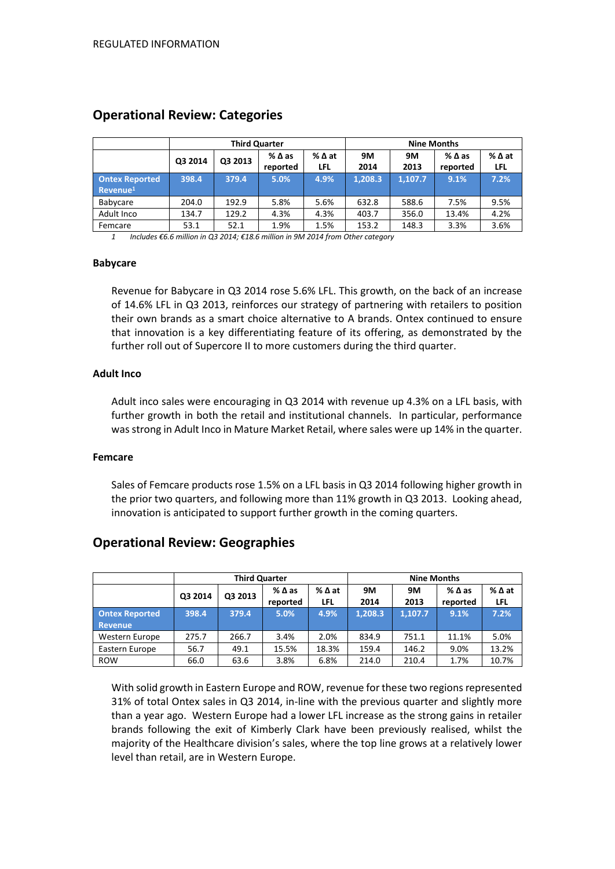|                                               |         | <b>Third Quarter</b> |                  |               | <b>Nine Months</b> |            |                  |                        |
|-----------------------------------------------|---------|----------------------|------------------|---------------|--------------------|------------|------------------|------------------------|
|                                               | Q3 2014 | Q3 2013              | %∆as<br>reported | % ∆ at<br>LFL | <b>9M</b><br>2014  | 9M<br>2013 | %∆as<br>reported | $%$ $\Delta$ at<br>LFL |
| <b>Ontex Reported</b><br>Revenue <sup>1</sup> | 398.4   | 379.4                | 5.0%             | 4.9%          | 1,208.3            | 1,107.7    | 9.1%             | 7.2%                   |
| Babycare                                      | 204.0   | 192.9                | 5.8%             | 5.6%          | 632.8              | 588.6      | 7.5%             | 9.5%                   |
| Adult Inco                                    | 134.7   | 129.2                | 4.3%             | 4.3%          | 403.7              | 356.0      | 13.4%            | 4.2%                   |
| Femcare                                       | 53.1    | 52.1                 | 1.9%             | 1.5%          | 153.2              | 148.3      | 3.3%             | 3.6%                   |

# **Operational Review: Categories**

*1 Includes €6.6 million in Q3 2014; €18.6 million in 9M 2014 from Other category*

#### **Babycare**

Revenue for Babycare in Q3 2014 rose 5.6% LFL. This growth, on the back of an increase of 14.6% LFL in Q3 2013, reinforces our strategy of partnering with retailers to position their own brands as a smart choice alternative to A brands. Ontex continued to ensure that innovation is a key differentiating feature of its offering, as demonstrated by the further roll out of Supercore II to more customers during the third quarter.

## **Adult Inco**

Adult inco sales were encouraging in Q3 2014 with revenue up 4.3% on a LFL basis, with further growth in both the retail and institutional channels. In particular, performance was strong in Adult Inco in Mature Market Retail, where sales were up 14% in the quarter.

#### **Femcare**

Sales of Femcare products rose 1.5% on a LFL basis in Q3 2014 following higher growth in the prior two quarters, and following more than 11% growth in Q3 2013. Looking ahead, innovation is anticipated to support further growth in the coming quarters.

# **Operational Review: Geographies**

|                                  | <b>Third Quarter</b> |         |                             |               | <b>Nine Months</b> |                   |                                |             |
|----------------------------------|----------------------|---------|-----------------------------|---------------|--------------------|-------------------|--------------------------------|-------------|
|                                  | Q3 2014              | Q3 2013 | $%$ $\Delta$ as<br>reported | % ∆ at<br>LFL | 9M<br>2014         | <b>9M</b><br>2013 | $%$ $\triangle$ as<br>reported | %∆at<br>LFL |
| <b>Ontex Reported</b><br>Revenue | 398.4                | 379.4   | 5.0%                        | 4.9%          | 1.208.3            | 1.107.7           | 9.1%                           | 7.2%        |
| Western Europe                   | 275.7                | 266.7   | 3.4%                        | 2.0%          | 834.9              | 751.1             | 11.1%                          | 5.0%        |
| Eastern Europe                   | 56.7                 | 49.1    | 15.5%                       | 18.3%         | 159.4              | 146.2             | 9.0%                           | 13.2%       |
| <b>ROW</b>                       | 66.0                 | 63.6    | 3.8%                        | 6.8%          | 214.0              | 210.4             | 1.7%                           | 10.7%       |

With solid growth in Eastern Europe and ROW, revenue for these two regions represented 31% of total Ontex sales in Q3 2014, in-line with the previous quarter and slightly more than a year ago. Western Europe had a lower LFL increase as the strong gains in retailer brands following the exit of Kimberly Clark have been previously realised, whilst the majority of the Healthcare division's sales, where the top line grows at a relatively lower level than retail, are in Western Europe.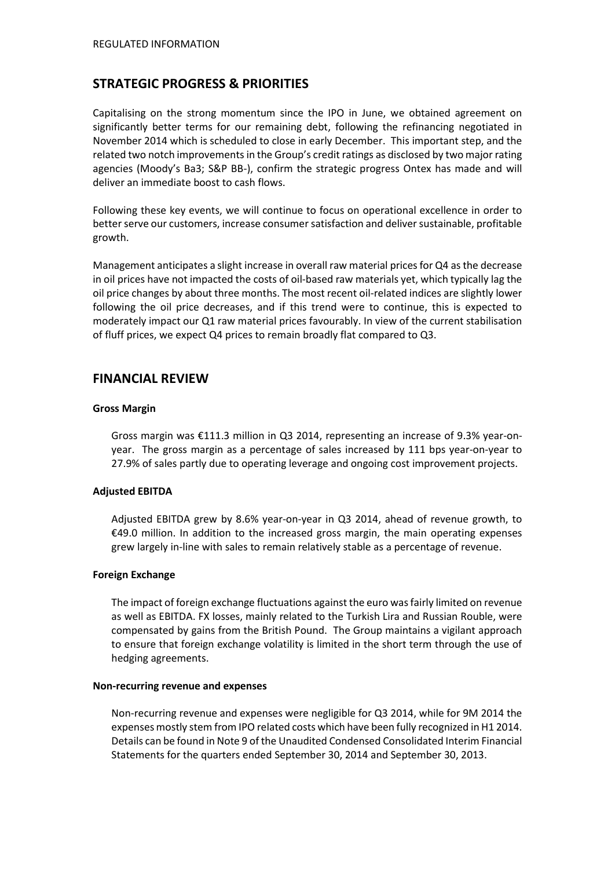# **STRATEGIC PROGRESS & PRIORITIES**

Capitalising on the strong momentum since the IPO in June, we obtained agreement on significantly better terms for our remaining debt, following the refinancing negotiated in November 2014 which is scheduled to close in early December. This important step, and the related two notch improvements in the Group's credit ratings as disclosed by two major rating agencies (Moody's Ba3; S&P BB-), confirm the strategic progress Ontex has made and will deliver an immediate boost to cash flows.

Following these key events, we will continue to focus on operational excellence in order to better serve our customers, increase consumer satisfaction and deliver sustainable, profitable growth.

Management anticipates a slight increase in overall raw material prices for Q4 as the decrease in oil prices have not impacted the costs of oil-based raw materials yet, which typically lag the oil price changes by about three months. The most recent oil-related indices are slightly lower following the oil price decreases, and if this trend were to continue, this is expected to moderately impact our Q1 raw material prices favourably. In view of the current stabilisation of fluff prices, we expect Q4 prices to remain broadly flat compared to Q3.

# **FINANCIAL REVIEW**

#### **Gross Margin**

Gross margin was €111.3 million in Q3 2014, representing an increase of 9.3% year-onyear. The gross margin as a percentage of sales increased by 111 bps year-on-year to 27.9% of sales partly due to operating leverage and ongoing cost improvement projects.

## **Adjusted EBITDA**

Adjusted EBITDA grew by 8.6% year-on-year in Q3 2014, ahead of revenue growth, to €49.0 million. In addition to the increased gross margin, the main operating expenses grew largely in-line with sales to remain relatively stable as a percentage of revenue.

#### **Foreign Exchange**

The impact of foreign exchange fluctuations against the euro was fairly limited on revenue as well as EBITDA. FX losses, mainly related to the Turkish Lira and Russian Rouble, were compensated by gains from the British Pound. The Group maintains a vigilant approach to ensure that foreign exchange volatility is limited in the short term through the use of hedging agreements.

#### **Non-recurring revenue and expenses**

Non-recurring revenue and expenses were negligible for Q3 2014, while for 9M 2014 the expenses mostly stem from IPO related costs which have been fully recognized in H1 2014. Details can be found in Note 9 of the Unaudited Condensed Consolidated Interim Financial Statements for the quarters ended September 30, 2014 and September 30, 2013.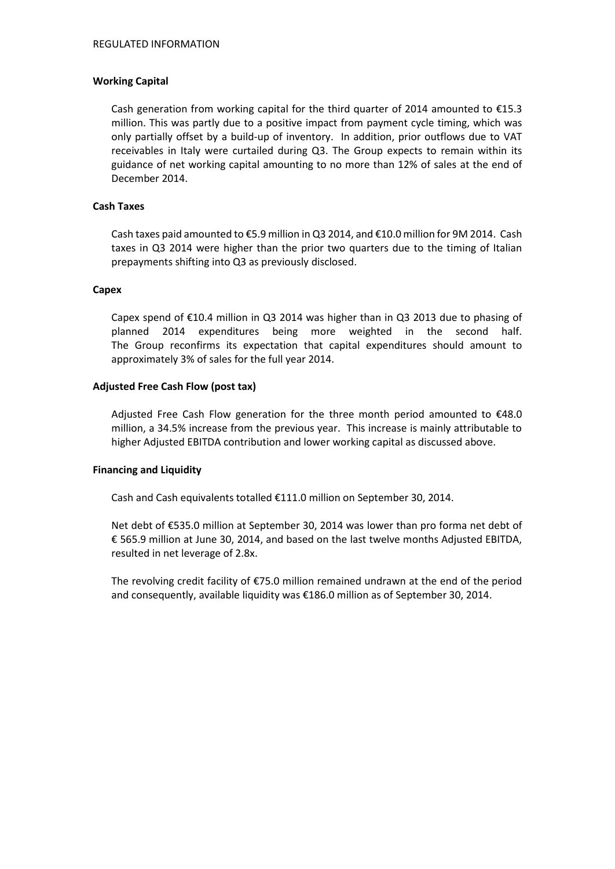### **Working Capital**

Cash generation from working capital for the third quarter of 2014 amounted to  $\epsilon$ 15.3 million. This was partly due to a positive impact from payment cycle timing, which was only partially offset by a build-up of inventory. In addition, prior outflows due to VAT receivables in Italy were curtailed during Q3. The Group expects to remain within its guidance of net working capital amounting to no more than 12% of sales at the end of December 2014.

## **Cash Taxes**

Cash taxes paid amounted to €5.9 million in Q3 2014, and €10.0 million for 9M 2014. Cash taxes in Q3 2014 were higher than the prior two quarters due to the timing of Italian prepayments shifting into Q3 as previously disclosed.

#### **Capex**

Capex spend of €10.4 million in Q3 2014 was higher than in Q3 2013 due to phasing of planned 2014 expenditures being more weighted in the second half. The Group reconfirms its expectation that capital expenditures should amount to approximately 3% of sales for the full year 2014.

#### **Adjusted Free Cash Flow (post tax)**

Adjusted Free Cash Flow generation for the three month period amounted to  $£48.0$ million, a 34.5% increase from the previous year. This increase is mainly attributable to higher Adjusted EBITDA contribution and lower working capital as discussed above.

#### **Financing and Liquidity**

Cash and Cash equivalents totalled €111.0 million on September 30, 2014.

Net debt of €535.0 million at September 30, 2014 was lower than pro forma net debt of € 565.9 million at June 30, 2014, and based on the last twelve months Adjusted EBITDA, resulted in net leverage of 2.8x.

The revolving credit facility of €75.0 million remained undrawn at the end of the period and consequently, available liquidity was €186.0 million as of September 30, 2014.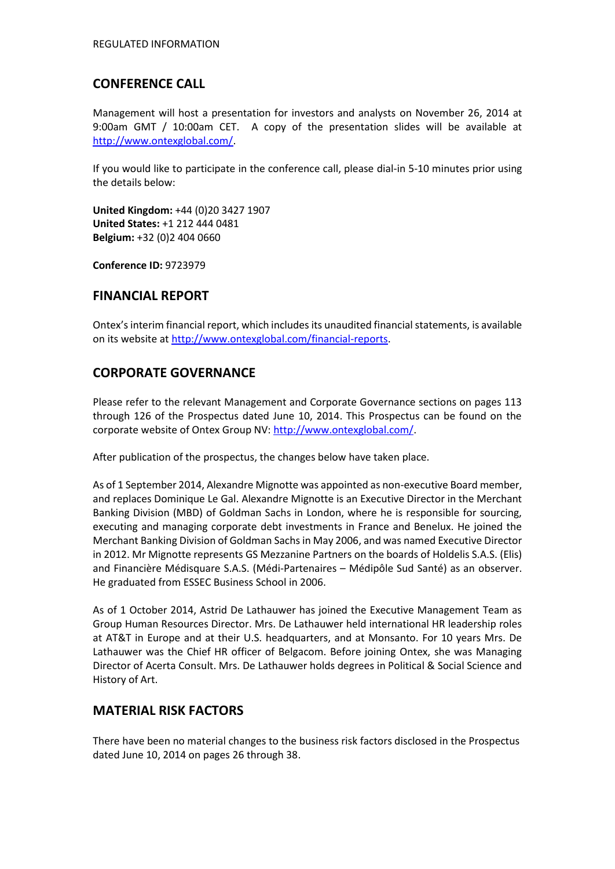# **CONFERENCE CALL**

Management will host a presentation for investors and analysts on November 26, 2014 at 9:00am GMT / 10:00am CET. A copy of the presentation slides will be available at [http://www.ontexglobal.com/.](http://www.ontexglobal.com/)

If you would like to participate in the conference call, please dial-in 5-10 minutes prior using the details below:

**United Kingdom:** +44 (0)20 3427 1907 **United States:** +1 212 444 0481 **Belgium:** +32 (0)2 404 0660

**Conference ID:** 9723979

# **FINANCIAL REPORT**

Ontex's interim financial report, which includes its unaudited financial statements, is available on its website at [http://www.ontexglobal.com/financial-reports.](http://www.ontexglobal.com/financial-reports)

# **CORPORATE GOVERNANCE**

Please refer to the relevant Management and Corporate Governance sections on pages 113 through 126 of the Prospectus dated June 10, 2014. This Prospectus can be found on the corporate website of Ontex Group NV[: http://www.ontexglobal.com/.](http://www.ontexglobal.com/)

After publication of the prospectus, the changes below have taken place.

As of 1 September 2014, Alexandre Mignotte was appointed as non-executive Board member, and replaces Dominique Le Gal. Alexandre Mignotte is an Executive Director in the Merchant Banking Division (MBD) of Goldman Sachs in London, where he is responsible for sourcing, executing and managing corporate debt investments in France and Benelux. He joined the Merchant Banking Division of Goldman Sachs in May 2006, and was named Executive Director in 2012. Mr Mignotte represents GS Mezzanine Partners on the boards of Holdelis S.A.S. (Elis) and Financière Médisquare S.A.S. (Médi-Partenaires – Médipôle Sud Santé) as an observer. He graduated from ESSEC Business School in 2006.

As of 1 October 2014, Astrid De Lathauwer has joined the Executive Management Team as Group Human Resources Director. Mrs. De Lathauwer held international HR leadership roles at AT&T in Europe and at their U.S. headquarters, and at Monsanto. For 10 years Mrs. De Lathauwer was the Chief HR officer of Belgacom. Before joining Ontex, she was Managing Director of Acerta Consult. Mrs. De Lathauwer holds degrees in Political & Social Science and History of Art.

# **MATERIAL RISK FACTORS**

There have been no material changes to the business risk factors disclosed in the Prospectus dated June 10, 2014 on pages 26 through 38.